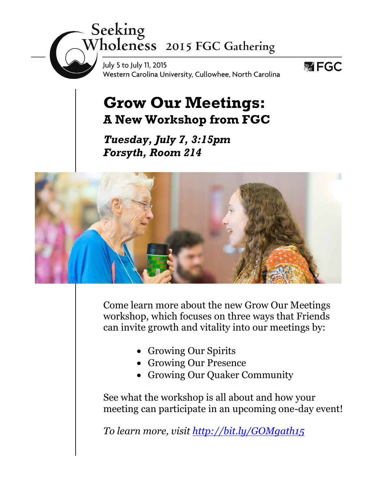# Seeking<br>Wholeness 2015 FGC Gathering

July 5 to July 11, 2015 Western Carolina University, Cullowhee, North Carolina



### **Grow Our Meetings: A New Workshop from FGC**

*Tuesday, July 7, 3:15pm Forsyth, Room 214*



Come learn more about the new Grow Our Meetings workshop, which focuses on three ways that Friends can invite growth and vitality into our meetings by:

- Growing Our Spirits
- Growing Our Presence
- Growing Our Quaker Community

See what the workshop is all about and how your meeting can participate in an upcoming one-day event!

*To learn more, visit<http://bit.ly/GOMgath15>*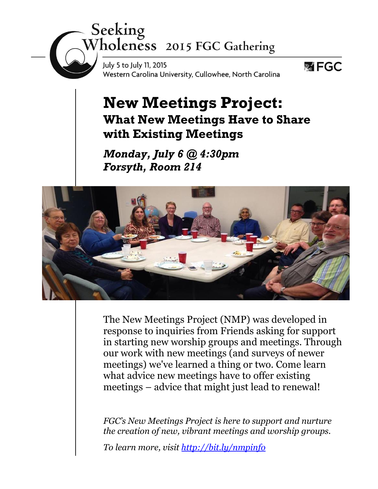## Seeking<br>Wholeness 2015 FGC Gathering

July 5 to July 11, 2015 Western Carolina University, Cullowhee, North Carolina



#### **New Meetings Project: What New Meetings Have to Share with Existing Meetings**

*Monday, July 6 @ 4:30pm Forsyth, Room 214*



The New Meetings Project (NMP) was developed in response to inquiries from Friends asking for support in starting new worship groups and meetings. Through our work with new meetings (and surveys of newer meetings) we've learned a thing or two. Come learn what advice new meetings have to offer existing meetings – advice that might just lead to renewal!

*FGC's New Meetings Project is here to support and nurture the creation of new, vibrant meetings and worship groups.*

*To learn more, visit<http://bit.ly/nmpinfo>*